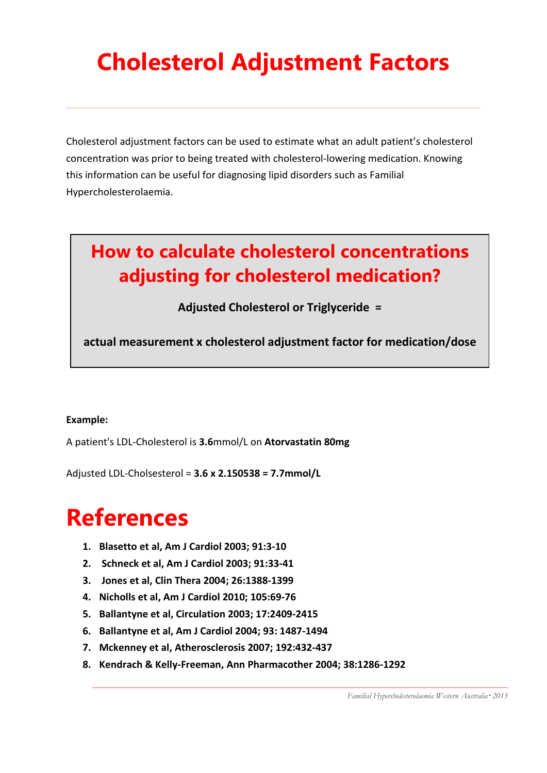# **Cholesterol Adjustment Factors**

Cholesterol adjustment factors can be used to estimate what an adult patient's cholesterol concentration was prior to being treated with cholesterol-lowering medication. Knowing this information can be useful for diagnosing lipid disorders such as Familial Hypercholesterolaemia.

### **How to calculate cholesterol concentrations adjusting for cholesterol medication?**

**Adjusted Cholesterol or Triglyceride =** 

**actual measurement x cholesterol adjustment factor for medication/dose**

#### **Example:**

A patient's LDL-Cholesterol is **3.6**mmol/L on **Atorvastatin 80mg**

Adjusted LDL-Cholsesterol = **3.6 x 2.150538 = 7.7mmol/L**

## **References**

- **1. Blasetto et al, Am J Cardiol 2003; 91:3-10**
- **2. Schneck et al, Am J Cardiol 2003; 91:33-41**
- **3. Jones et al, Clin Thera 2004; 26:1388-1399**
- **4. Nicholls et al, Am J Cardiol 2010; 105:69-76**
- **5. Ballantyne et al, Circulation 2003; 17:2409-2415**
- **6. Ballantyne et al, Am J Cardiol 2004; 93: 1487-1494**
- **7. Mckenney et al, Atherosclerosis 2007; 192:432-437**
- **8. Kendrach & Kelly-Freeman, Ann Pharmacother 2004; 38:1286-1292**